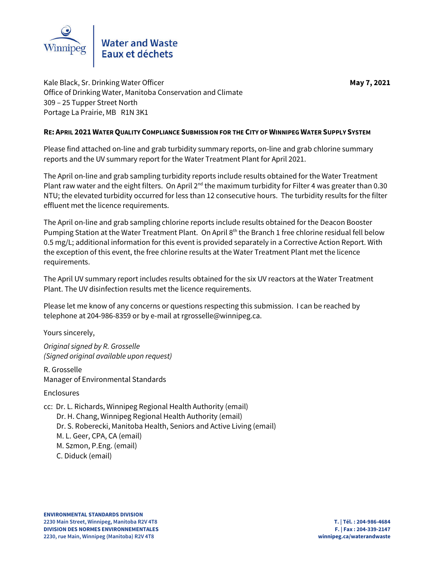

Kale Black, Sr. Drinking Water Officer **May 7, 2021** Office of Drinking Water, Manitoba Conservation and Climate 309 – 25 Tupper Street North Portage La Prairie, MB R1N 3K1

## **RE: APRIL 2021 WATER QUALITY COMPLIANCE SUBMISSION FOR THE CITY OF WINNIPEG WATER SUPPLY SYSTEM**

Please find attached on-line and grab turbidity summary reports, on-line and grab chlorine summary reports and the UV summary report for the Water Treatment Plant for April 2021.

The April on-line and grab sampling turbidity reports include results obtained for the Water Treatment Plant raw water and the eight filters. On April  $2^{nd}$  the maximum turbidity for Filter 4 was greater than 0.30 NTU; the elevated turbidity occurred for less than 12 consecutive hours. The turbidity results for the filter effluent met the licence requirements.

The April on-line and grab sampling chlorine reports include results obtained for the Deacon Booster Pumping Station at the Water Treatment Plant. On April 8<sup>th</sup> the Branch 1 free chlorine residual fell below 0.5 mg/L; additional information for this event is provided separately in a Corrective Action Report. With the exception of this event, the free chlorine results at the Water Treatment Plant met the licence requirements.

The April UV summary report includes results obtained for the six UV reactors at the Water Treatment Plant. The UV disinfection results met the licence requirements.

Please let me know of any concerns or questions respecting this submission. I can be reached by telephone at 204-986-8359 or by e-mail at rgrosselle@winnipeg.ca.

Yours sincerely,

*Original signed by R. Grosselle (Signed original available upon request)*

R. Grosselle Manager of Environmental Standards

Enclosures

cc: Dr. L. Richards, Winnipeg Regional Health Authority (email)

Dr. H. Chang, Winnipeg Regional Health Authority (email)

Dr. S. Roberecki, Manitoba Health, Seniors and Active Living (email)

M. L. Geer, CPA, CA (email)

M. Szmon, P.Eng. (email)

C. Diduck (email)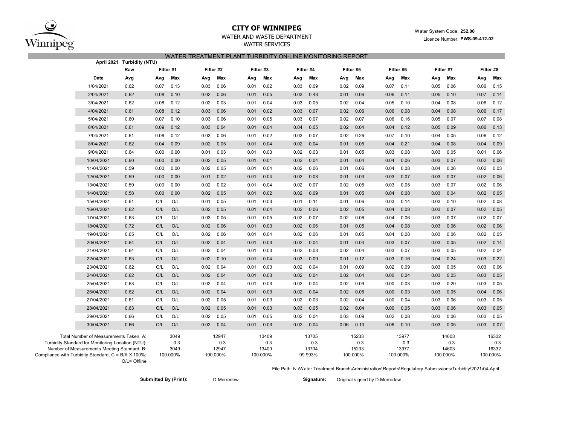

# **CITY OF WINNIPEG** WATER WATER WATER MANUSCRIPT WATER System Code: 252.00

WATER AND WASTE DEPARTMENT

## WATER SERVICES WATER TREATMENT PLANT TURBIDITY ON-LINE MONITORING REPORT

|                                                                                                                                            | April 2021 Turbidity (NTU) |      |                     |                       |           |      |                       |      |                       |      |                       |      |                       |          |                       |          |                       |
|--------------------------------------------------------------------------------------------------------------------------------------------|----------------------------|------|---------------------|-----------------------|-----------|------|-----------------------|------|-----------------------|------|-----------------------|------|-----------------------|----------|-----------------------|----------|-----------------------|
|                                                                                                                                            | Raw                        |      | Filter #1           |                       | Filter #2 |      | Filter #3             |      | Filter #4             |      | Filter #5             |      | Filter #6             |          | Filter #7             |          |                       |
| Date                                                                                                                                       | Avg                        | Avg  | Max                 | Avg                   | Max       | Avg  | Max                   | Avg  | Max                   | Avg  | Max                   | Avg  | Max                   | Avg      | Max                   | Avg      | Max                   |
| 1/04/2021                                                                                                                                  | 0.62                       | 0.07 | 0.13                | 0.03                  | 0.06      | 0.01 | 0.02                  | 0.03 | 0.09                  | 0.02 | 0.09                  | 0.07 | 0.11                  | 0.05     | 0.06                  | 0.06     | 0.15                  |
| 2/04/2021                                                                                                                                  | 0.62                       | 0.08 | 0.10                | 0.02                  | 0.06      | 0.01 | 0.05                  | 0.03 | 0.43                  | 0.01 | 0.06                  | 0.06 | 0.11                  | 0.05     | 0.10                  | 0.07     | 0.14                  |
| 3/04/2021                                                                                                                                  | 0.62                       | 0.08 | 0.12                | 0.02                  | 0.03      | 0.01 | 0.04                  | 0.03 | 0.05                  | 0.02 | 0.04                  | 0.05 | 0.10                  | 0.04     | 0.08                  | 0.06     | 0.12                  |
| 4/04/2021                                                                                                                                  | 0.61                       | 0.08 | 0.12                | 0.03                  | 0.06      | 0.01 | 0.02                  | 0.03 | 0.07                  | 0.02 | 0.06                  | 0.06 | 0.08                  | 0.04     | 0.08                  | 0.06     | 0.17                  |
| 5/04/2021                                                                                                                                  | 0.60                       | 0.07 | 0.10                | 0.03                  | 0.06      | 0.01 | 0.05                  | 0.03 | 0.07                  | 0.02 | 0.07                  | 0.06 | 0.16                  | 0.05     | 0.07                  | 0.07     | 0.08                  |
| 6/04/2021                                                                                                                                  | 0.61                       | 0.09 | 0.12                | 0.03                  | 0.04      | 0.01 | 0.04                  | 0.04 | 0.05                  | 0.02 | 0.04                  | 0.04 | 0.12                  | 0.05     | 0.09                  | 0.06     | 0.13                  |
| 7/04/2021                                                                                                                                  | 0.61                       | 0.08 | 0.12                | 0.03                  | 0.06      | 0.01 | 0.02                  | 0.03 | 0.07                  | 0.02 | 0.26                  | 0.07 | 0.10                  | 0.04     | 0.05                  | 0.06     | 0.12                  |
| 8/04/2021                                                                                                                                  | 0.62                       | 0.04 | 0.09                | 0.02                  | 0.05      | 0.01 | 0.04                  | 0.02 | 0.04                  | 0.01 | 0.05                  | 0.04 | 0.21                  | 0.04     | 0.08                  | 0.04     | 0.09                  |
| 9/04/2021                                                                                                                                  | 0.64                       | 0.00 | 0.00                | 0.01                  | 0.03      | 0.01 | 0.03                  | 0.02 | 0.03                  | 0.01 | 0.05                  | 0.03 | 0.08                  | 0.03     | 0.05                  | 0.01     | 0.06                  |
| 10/04/2021                                                                                                                                 | 0.60                       | 0.00 | 0.00                | 0.02                  | 0.05      | 0.01 | 0.01                  | 0.02 | 0.04                  | 0.01 | 0.04                  | 0.04 | 0.06                  | 0.03     | 0.07                  | 0.02     | 0.06                  |
| 11/04/2021                                                                                                                                 | 0.59                       | 0.00 | 0.00                | 0.02                  | 0.05      | 0.01 | 0.04                  | 0.02 | 0.06                  | 0.01 | 0.06                  | 0.04 | 0.08                  | 0.04     | 0.06                  | 0.02     | 0.03                  |
| 12/04/2021                                                                                                                                 | 0.59                       | 0.00 | 0.00                | 0.01                  | 0.02      | 0.01 | 0.04                  | 0.02 | 0.03                  | 0.01 | 0.03                  | 0.03 | 0.07                  | 0.03     | 0.07                  | 0.02     | 0.06                  |
| 13/04/2021                                                                                                                                 | 0.59                       | 0.00 | 0.00                | 0.02                  | 0.02      | 0.01 | 0.04                  | 0.02 | 0.07                  | 0.02 | 0.05                  | 0.03 | 0.05                  | 0.03     | 0.07                  | 0.02     | 0.06                  |
| 14/04/2021                                                                                                                                 | 0.58                       | 0.00 | 0.00                | 0.02                  | 0.05      | 0.01 | 0.02                  | 0.02 | 0.09                  | 0.01 | 0.05                  | 0.04 | 0.08                  | 0.03     | 0.04                  | 0.02     | 0.05                  |
| 15/04/2021                                                                                                                                 | 0.61                       | O/L  | O/L                 | 0.01                  | 0.05      | 0.01 | 0.03                  | 0.01 | 0.11                  | 0.01 | 0.06                  | 0.03 | 0.14                  | 0.03     | 0.10                  | 0.02     | 0.08                  |
| 16/04/2021                                                                                                                                 | 0.62                       | O/L  | O/L                 | 0.02                  | 0.05      | 0.01 | 0.04                  | 0.02 | 0.06                  | 0.02 | 0.05                  | 0.04 | 0.08                  | 0.03     | 0.07                  | 0.02     | 0.05                  |
| 17/04/2021                                                                                                                                 | 0.63                       | O/L  | O/L                 | 0.03                  | 0.05      | 0.01 | 0.05                  | 0.02 | 0.07                  | 0.02 | 0.06                  | 0.04 | 0.06                  | 0.03     | 0.07                  | 0.02     | 0.07                  |
| 18/04/2021                                                                                                                                 | 0.72                       | O/L  | O/L                 | 0.02                  | 0.06      | 0.01 | 0.03                  | 0.02 | 0.06                  | 0.01 | 0.05                  | 0.04 | 0.08                  | 0.03     | 0.06                  | 0.02     | 0.06                  |
| 19/04/2021                                                                                                                                 | 0.65                       | O/L  | O/L                 | 0.02                  | 0.06      | 0.01 | 0.04                  | 0.02 | 0.06                  | 0.01 | 0.05                  | 0.04 | 0.08                  | 0.03     | 0.06                  | 0.02     | 0.05                  |
| 20/04/2021                                                                                                                                 | 0.64                       | O/L  | O/L                 | 0.02                  | 0.04      | 0.01 | 0.03                  | 0.02 | 0.04                  | 0.01 | 0.04                  | 0.03 | 0.07                  | 0.03     | 0.05                  | 0.02     | 0.14                  |
| 21/04/2021                                                                                                                                 | 0.64                       | O/L  | O/L                 | 0.02                  | 0.04      | 0.01 | 0.03                  | 0.02 | 0.03                  | 0.02 | 0.04                  | 0.03 | 0.07                  | 0.03     | 0.05                  | 0.02     | 0.04                  |
| 22/04/2021                                                                                                                                 | 0.63                       | O/L  | O/L                 | 0.02                  | 0.10      | 0.01 | 0.04                  | 0.03 | 0.09                  | 0.01 | 0.12                  | 0.03 | 0.16                  | 0.04     | 0.24                  | 0.03     | 0.22                  |
| 23/04/2021                                                                                                                                 | 0.62                       | O/L  | O/L                 | 0.02                  | 0.04      | 0.01 | 0.03                  | 0.02 | 0.04                  | 0.01 | 0.09                  | 0.02 | 0.09                  | 0.03     | 0.05                  | 0.03     | 0.06                  |
| 24/04/2021                                                                                                                                 | 0.62                       | O/L  | O/L                 | 0.02                  | 0.04      | 0.01 | 0.03                  | 0.02 | 0.04                  | 0.02 | 0.04                  | 0.00 | 0.04                  | 0.03     | 0.05                  | 0.03     | 0.05                  |
| 25/04/2021                                                                                                                                 | 0.63                       | O/L  | O/L                 | 0.02                  | 0.04      | 0.01 | 0.03                  | 0.02 | 0.04                  | 0.02 | 0.09                  | 0.00 | 0.03                  | 0.03     | 0.20                  | 0.03     | 0.05                  |
| 26/04/2021                                                                                                                                 | 0.62                       | O/L  | O/L                 | 0.02                  | 0.04      | 0.01 | 0.03                  | 0.02 | 0.04                  | 0.02 | 0.05                  | 0.00 | 0.03                  | 0.03     | 0.05                  | 0.04     | 0.06                  |
| 27/04/2021                                                                                                                                 | 0.61                       | O/L  | O/L                 | 0.02                  | 0.05      | 0.01 | 0.03                  | 0.02 | 0.03                  | 0.02 | 0.04                  | 0.00 | 0.04                  | 0.03     | 0.06                  | 0.03     | 0.05                  |
| 28/04/2021                                                                                                                                 | 0.63                       | O/L  | O/L                 | 0.02                  | 0.05      | 0.01 | 0.03                  | 0.03 | 0.05                  | 0.02 | 0.04                  | 0.00 | 0.05                  | 0.03     | 0.06                  | 0.03     | 0.05                  |
| 29/04/2021                                                                                                                                 | 0.66                       | O/L  | O/L                 | 0.02                  | 0.05      | 0.01 | 0.05                  | 0.02 | 0.04                  | 0.03 | 0.09                  | 0.02 | 0.08                  | 0.03     | 0.06                  | 0.03     | 0.05                  |
| 30/04/2021                                                                                                                                 | 0.66                       | O/L  | O/L                 | 0.02                  | 0.04      | 0.01 | 0.03                  | 0.02 | 0.04                  | 0.06 | 0.10                  | 0.06 | 0.10                  | 0.03     | 0.05                  | 0.03     | 0.07                  |
| Total Number of Measurements Taken, A:<br>Turbidity Standard for Monitoring Location (NTU):<br>Number of Measurements Meeting Standard, B: |                            |      | 3049<br>0.3<br>3049 | 12947<br>0.3<br>12947 |           |      | 13409<br>0.3<br>13409 |      | 13705<br>0.3<br>13704 |      | 15233<br>0.3<br>15233 |      | 13977<br>0.3<br>13977 |          | 14603<br>0.3<br>14603 |          | 16332<br>0.3<br>16332 |
| Compliance with Turbidity Standard, C = B/A X 100%:<br>$O/L =$ Offline                                                                     |                            |      | 100.000%            | 100.000%              |           |      | 100.000%              |      | 99.993%               |      | 100.000%              |      | 100.000%              | 100.000% |                       | 100.000% |                       |

File Path: N:\Water Treatment Branch\Administration\Reports\Regulatory Submissions\Turbidity\2021\04-April

Submitted By (Print): **Submitted By (Print):** D. Merredew **Signature:** Signature:

Original signed by D.Merredew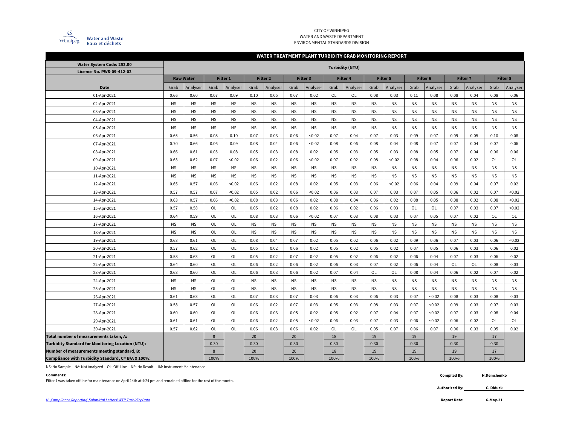

### CITY OF WINNIPEG WATER AND WASTE DEPARTMENT ENVIRONMENTAL STANDARDS DIVISION

## **WATER TREATMENT PLANT TURBIDITY GRAB MONITORING REPORT**

| Water System Code: 252.00                                | <b>Turbidity (NTU)</b> |                  |           |                 |           |                 |           |                 |             |                 |           |                 |                     |           |                 |           |           |                 |
|----------------------------------------------------------|------------------------|------------------|-----------|-----------------|-----------|-----------------|-----------|-----------------|-------------|-----------------|-----------|-----------------|---------------------|-----------|-----------------|-----------|-----------|-----------------|
| Licence No. PWS-09-412-02                                |                        |                  |           |                 |           |                 |           |                 |             |                 |           |                 |                     |           |                 |           |           |                 |
|                                                          |                        | <b>Raw Water</b> |           | <b>Filter 1</b> |           | <b>Filter 2</b> |           | <b>Filter 3</b> |             | <b>Filter 4</b> |           | <b>Filter 5</b> | Filter <sub>6</sub> |           | <b>Filter 7</b> |           |           | <b>Filter 8</b> |
| <b>Date</b>                                              | Grab                   | Analyser         | Grab      | Analyser        | Grab      | Analyser        | Grab      | Analyser        | Grab        | Analyser        | Grab      | Analyser        | Grab                | Analyser  | Grab            | Analyser  | Grab      | Analyser        |
| 01-Apr-2021                                              | 0.66                   | 0.60             | 0.07      | 0.09            | 0.10      | 0.05            | 0.07      | 0.02            | <b>OL</b>   | OL              | 0.08      | 0.03            | 0.11                | 0.08      | 0.08            | 0.04      | 0.08      | 0.06            |
| 02-Apr-2021                                              | <b>NS</b>              | <b>NS</b>        | <b>NS</b> | <b>NS</b>       | <b>NS</b> | <b>NS</b>       | <b>NS</b> | <b>NS</b>       | <b>NS</b>   | <b>NS</b>       | <b>NS</b> | <b>NS</b>       | <b>NS</b>           | <b>NS</b> | <b>NS</b>       | <b>NS</b> | <b>NS</b> | <b>NS</b>       |
| 03-Apr-2021                                              | <b>NS</b>              | <b>NS</b>        | <b>NS</b> | <b>NS</b>       | <b>NS</b> | <b>NS</b>       | <b>NS</b> | <b>NS</b>       | <b>NS</b>   | <b>NS</b>       | <b>NS</b> | <b>NS</b>       | <b>NS</b>           | <b>NS</b> | <b>NS</b>       | <b>NS</b> | <b>NS</b> | <b>NS</b>       |
| 04-Apr-2021                                              | <b>NS</b>              | <b>NS</b>        | <b>NS</b> | <b>NS</b>       | <b>NS</b> | <b>NS</b>       | <b>NS</b> | <b>NS</b>       | <b>NS</b>   | <b>NS</b>       | <b>NS</b> | <b>NS</b>       | <b>NS</b>           | <b>NS</b> | <b>NS</b>       | <b>NS</b> | <b>NS</b> | <b>NS</b>       |
| 05-Apr-2021                                              | <b>NS</b>              | <b>NS</b>        | <b>NS</b> | <b>NS</b>       | <b>NS</b> | <b>NS</b>       | <b>NS</b> | <b>NS</b>       | <b>NS</b>   | <b>NS</b>       | <b>NS</b> | <b>NS</b>       | <b>NS</b>           | <b>NS</b> | <b>NS</b>       | <b>NS</b> | <b>NS</b> | <b>NS</b>       |
| 06-Apr-2021                                              | 0.65                   | 0.56             | 0.08      | 0.10            | 0.07      | 0.03            | 0.06      | < 0.02          | 0.07        | 0.04            | 0.07      | 0.03            | 0.09                | 0.07      | 0.09            | 0.05      | 0.10      | 0.08            |
| 07-Apr-2021                                              | 0.70                   | 0.66             | 0.06      | 0.09            | 0.08      | 0.04            | 0.06      | < 0.02          | 0.08        | 0.06            | 0.08      | 0.04            | 0.08                | 0.07      | 0.07            | 0.04      | 0.07      | 0.06            |
| 08-Apr-2021                                              | 0.66                   | 0.61             | 0.05      | 0.08            | 0.05      | 0.03            | 0.08      | 0.02            | 0.05        | 0.03            | 0.05      | 0.03            | 0.08                | 0.05      | 0.07            | 0.04      | 0.06      | 0.06            |
| 09-Apr-2021                                              | 0.63                   | 0.62             | 0.07      | < 0.02          | 0.06      | 0.02            | 0.06      | < 0.02          | 0.07        | 0.02            | 0.08      | < 0.02          | 0.08                | 0.04      | 0.06            | 0.02      | OL        | OL              |
| 10-Apr-2021                                              | <b>NS</b>              | <b>NS</b>        | <b>NS</b> | <b>NS</b>       | <b>NS</b> | <b>NS</b>       | <b>NS</b> | <b>NS</b>       | <b>NS</b>   | <b>NS</b>       | <b>NS</b> | <b>NS</b>       | <b>NS</b>           | <b>NS</b> | <b>NS</b>       | <b>NS</b> | <b>NS</b> | <b>NS</b>       |
| 11-Apr-2021                                              | <b>NS</b>              | <b>NS</b>        | <b>NS</b> | <b>NS</b>       | <b>NS</b> | <b>NS</b>       | <b>NS</b> | <b>NS</b>       | <b>NS</b>   | <b>NS</b>       | <b>NS</b> | <b>NS</b>       | <b>NS</b>           | <b>NS</b> | <b>NS</b>       | <b>NS</b> | <b>NS</b> | <b>NS</b>       |
| 12-Apr-2021                                              | 0.65                   | 0.57             | 0.06      | < 0.02          | 0.06      | 0.02            | 0.08      | 0.02            | 0.05        | 0.03            | 0.06      | < 0.02          | 0.06                | 0.04      | 0.09            | 0.04      | 0.07      | 0.02            |
| 13-Apr-2021                                              | 0.57                   | 0.57             | 0.07      | < 0.02          | 0.05      | 0.02            | 0.06      | < 0.02          | 0.06        | 0.03            | 0.07      | 0.03            | 0.07                | 0.05      | 0.06            | 0.02      | 0.07      | < 0.02          |
| 14-Apr-2021                                              | 0.63                   | 0.57             | 0.06      | < 0.02          | 0.08      | 0.03            | 0.06      | 0.02            | 0.08        | 0.04            | 0.06      | 0.02            | 0.08                | 0.05      | 0.08            | 0.02      | 0.08      | < 0.02          |
| 15-Apr-2021                                              | 0.57                   | 0.58             | OL        | OL              | 0.05      | 0.02            | 0.08      | 0.02            | 0.06        | 0.02            | 0.06      | 0.03            | OL                  | OL        | 0.07            | 0.03      | 0.07      | < 0.02          |
| 16-Apr-2021                                              | 0.64                   | 0.59             | OL        | OL              | 0.08      | 0.03            | 0.06      | < 0.02          | 0.07        | 0.03            | 0.08      | 0.03            | 0.07                | 0.05      | 0.07            | 0.02      | OL        | OL              |
| 17-Apr-2021                                              | <b>NS</b>              | <b>NS</b>        | OL        | OL              | <b>NS</b> | <b>NS</b>       | <b>NS</b> | <b>NS</b>       | $_{\sf NS}$ | <b>NS</b>       | <b>NS</b> | <b>NS</b>       | <b>NS</b>           | <b>NS</b> | <b>NS</b>       | <b>NS</b> | <b>NS</b> | <b>NS</b>       |
| 18-Apr-2021                                              | <b>NS</b>              | <b>NS</b>        | OL        | OL              | <b>NS</b> | <b>NS</b>       | <b>NS</b> | <b>NS</b>       | $_{\sf NS}$ | <b>NS</b>       | <b>NS</b> | <b>NS</b>       | <b>NS</b>           | <b>NS</b> | <b>NS</b>       | <b>NS</b> | <b>NS</b> | <b>NS</b>       |
| 19-Apr-2021                                              | 0.63                   | 0.61             | OL        | <b>OL</b>       | 0.08      | 0.04            | 0.07      | 0.02            | 0.05        | 0.02            | 0.06      | 0.02            | 0.09                | 0.06      | 0.07            | 0.03      | 0.06      | < 0.02          |
| 20-Apr-2021                                              | 0.57                   | 0.62             | OL        | <b>OL</b>       | 0.05      | 0.02            | 0.06      | 0.02            | 0.05        | 0.02            | 0.05      | 0.02            | 0.07                | 0.05      | 0.06            | 0.03      | 0.06      | 0.02            |
| 21-Apr-2021                                              | 0.58                   | 0.63             | <b>OL</b> | <b>OL</b>       | 0.05      | 0.02            | 0.07      | 0.02            | 0.05        | 0.02            | 0.06      | 0.02            | 0.06                | 0.04      | 0.07            | 0.03      | 0.06      | 0.02            |
| 22-Apr-2021                                              | 0.64                   | 0.60             | OL        | <b>OL</b>       | 0.06      | 0.02            | 0.06      | 0.02            | 0.06        | 0.03            | 0.07      | 0.02            | 0.06                | 0.04      | OL              | <b>OL</b> | 0.08      | 0.03            |
| 23-Apr-2021                                              | 0.63                   | 0.60             | OL        | OL              | 0.06      | 0.03            | 0.06      | 0.02            | 0.07        | 0.04            | OL        | OL              | 0.08                | 0.04      | 0.06            | 0.02      | 0.07      | 0.02            |
| 24-Apr-2021                                              | <b>NS</b>              | <b>NS</b>        | OL        | OL              | <b>NS</b> | <b>NS</b>       | <b>NS</b> | <b>NS</b>       | <b>NS</b>   | <b>NS</b>       | <b>NS</b> | <b>NS</b>       | <b>NS</b>           | <b>NS</b> | <b>NS</b>       | <b>NS</b> | <b>NS</b> | <b>NS</b>       |
| 25-Apr-2021                                              | <b>NS</b>              | <b>NS</b>        | OL        | OL              | <b>NS</b> | <b>NS</b>       | <b>NS</b> | <b>NS</b>       | <b>NS</b>   | <b>NS</b>       | <b>NS</b> | <b>NS</b>       | <b>NS</b>           | <b>NS</b> | <b>NS</b>       | <b>NS</b> | <b>NS</b> | <b>NS</b>       |
| 26-Apr-2021                                              | 0.61                   | 0.63             | OL        | OL              | 0.07      | 0.03            | 0.07      | 0.03            | 0.06        | 0.03            | 0.06      | 0.03            | 0.07                | < 0.02    | 0.08            | 0.03      | 0.08      | 0.03            |
| 27-Apr-2021                                              | 0.58                   | 0.57             | OL        | OL              | 0.06      | 0.02            | 0.07      | 0.03            | 0.05        | 0.03            | 0.08      | 0.03            | 0.07                | < 0.02    | 0.09            | 0.03      | 0.07      | 0.03            |
| 28-Apr-2021                                              | 0.60                   | 0.60             | OL        | OL              | 0.06      | 0.03            | 0.05      | 0.02            | 0.05        | 0.02            | 0.07      | 0.04            | 0.07                | < 0.02    | 0.07            | 0.03      | 0.08      | 0.04            |
| 29-Apr-2021                                              | 0.61                   | 0.61             | OL        | OL              | 0.06      | 0.02            | 0.05      | < 0.02          | 0.06        | 0.03            | 0.07      | 0.03            | 0.06                | < 0.02    | 0.06            | 0.02      | OL        | OL              |
| 30-Apr-2021                                              | 0.57                   | 0.62             | OL        | OL              | 0.06      | 0.03            | 0.06      | 0.02            | OL          | OL              | 0.05      | 0.07            | 0.06                | 0.07      | 0.06            | 0.03      | 0.05      | 0.02            |
| Total number of measurements taken, A:                   |                        |                  | 8         |                 | 20        |                 | 20        |                 | 18          |                 | 19        |                 | 19                  |           | 19              |           | 17        |                 |
| <b>Turbidity Standard for Monitoring Location (NTU):</b> |                        |                  | 0.30      |                 | 0.30      |                 | 0.30      |                 | 0.30        |                 | 0.30      |                 | 0.30                |           | 0.30            |           | 0.30      |                 |
| Number of measurements meeting standard, B:              |                        |                  | 8         |                 | 20        |                 | 20        |                 | 18          |                 | 19        |                 | 19                  |           | 19              |           | 17        |                 |
| Compliance with Turbidity Standard, C= B/A X 100%:       |                        |                  | 100%      |                 | 100%      |                 | 100%      |                 | 100%        |                 | 100%      |                 | 100%                |           | 100%            |           | 100%      |                 |

NS: No Sample NA: Not Analyzed OL: Off-Line NR: No Result IM: Instrument Maintenance

**Comments: Compiled By:** Filter 1 was taken offline for maintenance on April 14th at 4:24 pm and remained offline for the rest of the month.

**6-May-21**

**H.Demchenko**

**Authorized By: C. Diduck**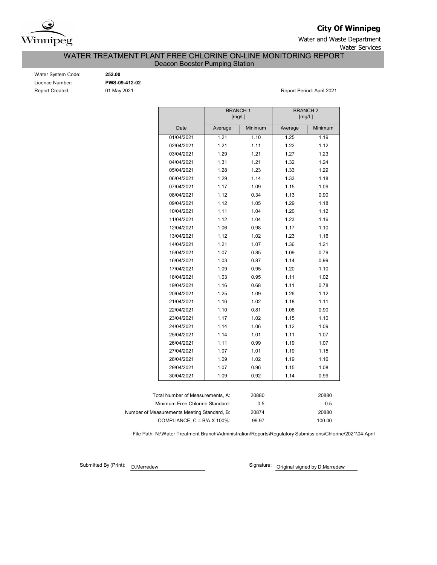

# **City Of Winnipeg**

Water and Waste Department Water Services

WATER TREATMENT PLANT FREE CHLORINE ON-LINE MONITORING REPORT

Deacon Booster Pumping Station

| Water System Code:     |
|------------------------|
| Licence Number:        |
| <b>Report Created:</b> |

Water System Code: **252.00** Licence Number: **PWS-09-412-02**

01 May 2021 **Report Period: April 2021** 

|                                             | <b>BRANCH1</b><br>[mg/L] |         | <b>BRANCH 2</b><br>[mg/L] |         |
|---------------------------------------------|--------------------------|---------|---------------------------|---------|
| Date                                        | Average                  | Minimum | Average                   | Minimum |
| 01/04/2021                                  | 1.21                     | 1.10    | 1.25                      | 1.19    |
| 02/04/2021                                  | 1.21                     | 1.11    | 1.22                      | 1.12    |
| 03/04/2021                                  | 1.29                     | 1.21    | 1.27                      | 1.23    |
| 04/04/2021                                  | 1.31                     | 1.21    | 1.32                      | 1.24    |
| 05/04/2021                                  | 1.28                     | 1.23    | 1.33                      | 1.29    |
| 06/04/2021                                  | 1.29                     | 1.14    | 1.33                      | 1.18    |
| 07/04/2021                                  | 1.17                     | 1.09    | 1.15                      | 1.09    |
| 08/04/2021                                  | 1.12                     | 0.34    | 1.13                      | 0.90    |
| 09/04/2021                                  | 1.12                     | 1.05    | 1.29                      | 1.18    |
| 10/04/2021                                  | 1.11                     | 1.04    | 1.20                      | 1.12    |
| 11/04/2021                                  | 1.12                     | 1.04    | 1.23                      | 1.16    |
| 12/04/2021                                  | 1.06                     | 0.98    | 1.17                      | 1.10    |
| 13/04/2021                                  | 1.12                     | 1.02    | 1.23                      | 1.16    |
| 14/04/2021                                  | 1.21                     | 1.07    | 1.36                      | 1.21    |
| 15/04/2021                                  | 1.07                     | 0.85    | 1.09                      | 0.79    |
| 16/04/2021                                  | 1.03                     | 0.87    | 1.14                      | 0.99    |
| 17/04/2021                                  | 1.09                     | 0.95    | 1.20                      | 1.10    |
| 18/04/2021                                  | 1.03                     | 0.95    | 1.11                      | 1.02    |
| 19/04/2021                                  | 1.16                     | 0.68    | 1.11                      | 0.78    |
| 20/04/2021                                  | 1.25                     | 1.09    | 1.26                      | 1.12    |
| 21/04/2021                                  | 1.16                     | 1.02    | 1.18                      | 1.11    |
| 22/04/2021                                  | 1.10                     | 0.81    | 1.08                      | 0.90    |
| 23/04/2021                                  | 1.17                     | 1.02    | 1.15                      | 1.10    |
| 24/04/2021                                  | 1.14                     | 1.06    | 1.12                      | 1.09    |
| 25/04/2021                                  | 1.14                     | 1.01    | 1.11                      | 1.07    |
| 26/04/2021                                  | 1.11                     | 0.99    | 1.19                      | 1.07    |
| 27/04/2021                                  | 1.07                     | 1.01    | 1.19                      | 1.15    |
| 28/04/2021                                  | 1.09                     | 1.02    | 1.19                      | 1.16    |
| 29/04/2021                                  | 1.07                     | 0.96    | 1.15                      | 1.08    |
| 30/04/2021                                  | 1.09                     | 0.92    | 1.14                      | 0.99    |
|                                             |                          |         |                           |         |
| Total Number of Measurements, A:            |                          | 20880   |                           | 20880   |
| Minimum Free Chlorine Standard:             |                          | 0.5     |                           | 0.5     |
| Number of Measurements Meeting Standard, B: |                          | 20874   |                           | 20880   |
| COMPLIANCE, $C = B/A \times 100\%$          |                          | 99.97   |                           | 100.00  |

File Path: N:\Water Treatment Branch\Administration\Reports\Regulatory Submissions\Chlorine\2021\04-April

Submitted By (Print): D.Merredew

Signature: Original signed by D.Merredew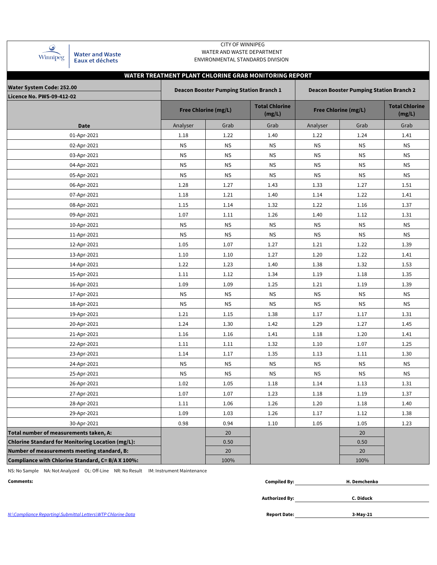| Winnipeg |
|----------|

Water and Waste<br>Eaux et déchets

## CITY OF WINNIPEG WATER AND WASTE DEPARTMENT ENVIRONMENTAL STANDARDS DIVISION

| WATER TREATMENT PLANT CHLORINE GRAB MONITORING REPORT |                                                                                                  |                             |                                 |           |                             |                                 |  |  |  |  |  |  |  |
|-------------------------------------------------------|--------------------------------------------------------------------------------------------------|-----------------------------|---------------------------------|-----------|-----------------------------|---------------------------------|--|--|--|--|--|--|--|
| <b>Water System Code: 252.00</b>                      | <b>Deacon Booster Pumping Station Branch 1</b><br><b>Deacon Booster Pumping Station Branch 2</b> |                             |                                 |           |                             |                                 |  |  |  |  |  |  |  |
| <b>Licence No. PWS-09-412-02</b>                      |                                                                                                  |                             |                                 |           |                             |                                 |  |  |  |  |  |  |  |
|                                                       |                                                                                                  | <b>Free Chlorine (mg/L)</b> | <b>Total Chlorine</b><br>(mg/L) |           | <b>Free Chlorine (mg/L)</b> | <b>Total Chlorine</b><br>(mg/L) |  |  |  |  |  |  |  |
| <b>Date</b>                                           | Analyser                                                                                         | Grab                        | Grab                            | Analyser  | Grab                        | Grab                            |  |  |  |  |  |  |  |
| 01-Apr-2021                                           | 1.18                                                                                             | 1.22                        | 1.40                            | 1.22      | 1.24                        | 1.41                            |  |  |  |  |  |  |  |
| 02-Apr-2021                                           | <b>NS</b>                                                                                        | <b>NS</b>                   | <b>NS</b>                       | <b>NS</b> | <b>NS</b>                   | <b>NS</b>                       |  |  |  |  |  |  |  |
| 03-Apr-2021                                           | <b>NS</b>                                                                                        | <b>NS</b>                   | <b>NS</b>                       | <b>NS</b> | <b>NS</b>                   | <b>NS</b>                       |  |  |  |  |  |  |  |
| 04-Apr-2021                                           | <b>NS</b>                                                                                        | <b>NS</b>                   | <b>NS</b>                       | <b>NS</b> | <b>NS</b>                   | <b>NS</b>                       |  |  |  |  |  |  |  |
| 05-Apr-2021                                           | <b>NS</b>                                                                                        | <b>NS</b>                   | <b>NS</b>                       | <b>NS</b> | <b>NS</b>                   | <b>NS</b>                       |  |  |  |  |  |  |  |
| 06-Apr-2021                                           | 1.28                                                                                             | 1.27                        | 1.43                            | 1.33      | 1.27                        | 1.51                            |  |  |  |  |  |  |  |
| 07-Apr-2021                                           | 1.18                                                                                             | 1.21                        | 1.40                            | 1.14      | 1.22                        | 1.41                            |  |  |  |  |  |  |  |
| 08-Apr-2021                                           | 1.15                                                                                             | 1.14                        | 1.32                            | 1.22      | 1.16                        | 1.37                            |  |  |  |  |  |  |  |
| 09-Apr-2021                                           | 1.07                                                                                             | 1.11                        | 1.26                            | 1.40      | 1.12                        | 1.31                            |  |  |  |  |  |  |  |
| 10-Apr-2021                                           | <b>NS</b>                                                                                        | <b>NS</b>                   | <b>NS</b>                       | <b>NS</b> | <b>NS</b>                   | <b>NS</b>                       |  |  |  |  |  |  |  |
| 11-Apr-2021                                           | <b>NS</b>                                                                                        | <b>NS</b>                   | <b>NS</b>                       | <b>NS</b> | <b>NS</b>                   | <b>NS</b>                       |  |  |  |  |  |  |  |
| 12-Apr-2021                                           | 1.05                                                                                             | 1.07                        | 1.27                            | 1.21      | 1.22                        | 1.39                            |  |  |  |  |  |  |  |
| 13-Apr-2021                                           | 1.10                                                                                             | 1.10                        | 1.27                            | 1.20      | 1.22                        | 1.41                            |  |  |  |  |  |  |  |
| 14-Apr-2021                                           | 1.22                                                                                             | 1.23                        | 1.40                            | 1.38      | 1.32                        | 1.53                            |  |  |  |  |  |  |  |
| 15-Apr-2021                                           | 1.11                                                                                             | 1.12                        | 1.34                            | 1.19      | 1.18                        | 1.35                            |  |  |  |  |  |  |  |
| 16-Apr-2021                                           | 1.09                                                                                             | 1.09                        | 1.25                            | 1.21      | 1.19                        | 1.39                            |  |  |  |  |  |  |  |
| 17-Apr-2021                                           | <b>NS</b>                                                                                        | <b>NS</b>                   | <b>NS</b>                       | <b>NS</b> | <b>NS</b>                   | <b>NS</b>                       |  |  |  |  |  |  |  |
| 18-Apr-2021                                           | <b>NS</b>                                                                                        | <b>NS</b>                   | <b>NS</b>                       | <b>NS</b> | <b>NS</b>                   | <b>NS</b>                       |  |  |  |  |  |  |  |
| 19-Apr-2021                                           | 1.21                                                                                             | 1.15                        | 1.38                            | 1.17      | 1.17                        | 1.31                            |  |  |  |  |  |  |  |
| 20-Apr-2021                                           | 1.24                                                                                             | 1.30                        | 1.42                            | 1.29      | 1.27                        | 1.45                            |  |  |  |  |  |  |  |
| 21-Apr-2021                                           | 1.16                                                                                             | 1.16                        | 1.41                            | 1.18      | 1.20                        | 1.41                            |  |  |  |  |  |  |  |
| 22-Apr-2021                                           | 1.11                                                                                             | 1.11                        | 1.32                            | 1.10      | 1.07                        | 1.25                            |  |  |  |  |  |  |  |
| 23-Apr-2021                                           | 1.14                                                                                             | 1.17                        | 1.35                            | 1.13      | 1.11                        | 1.30                            |  |  |  |  |  |  |  |
| 24-Apr-2021                                           | <b>NS</b>                                                                                        | <b>NS</b>                   | <b>NS</b>                       | <b>NS</b> | <b>NS</b>                   | <b>NS</b>                       |  |  |  |  |  |  |  |
| 25-Apr-2021                                           | <b>NS</b>                                                                                        | <b>NS</b>                   | <b>NS</b>                       | <b>NS</b> | <b>NS</b>                   | <b>NS</b>                       |  |  |  |  |  |  |  |
| 26-Apr-2021                                           | 1.02                                                                                             | 1.05                        | 1.18                            | 1.14      | 1.13                        | 1.31                            |  |  |  |  |  |  |  |
| 27-Apr-2021                                           | 1.07                                                                                             | 1.07                        | 1.23                            | 1.18      | 1.19                        | 1.37                            |  |  |  |  |  |  |  |
| 28-Apr-2021                                           | 1.11                                                                                             | 1.06                        | 1.26                            | 1.20      | 1.18                        | 1.40                            |  |  |  |  |  |  |  |
| 29-Apr-2021                                           | 1.09                                                                                             | 1.03                        | 1.26                            | 1.17      | 1.12                        | 1.38                            |  |  |  |  |  |  |  |
| 30-Apr-2021                                           | 0.98                                                                                             | 0.94                        | 1.10                            | 1.05      | 1.05                        | 1.23                            |  |  |  |  |  |  |  |
| Total number of measurements taken, A:                |                                                                                                  | 20                          |                                 |           | 20                          |                                 |  |  |  |  |  |  |  |
| Chlorine Standard for Monitoring Location (mg/L):     |                                                                                                  | 0.50                        |                                 |           | 0.50                        |                                 |  |  |  |  |  |  |  |
| Number of measurements meeting standard, B:           |                                                                                                  | 20                          |                                 |           | 20                          |                                 |  |  |  |  |  |  |  |
| Compliance with Chlorine Standard, C= B/A X 100%:     |                                                                                                  | 100%                        |                                 |           | 100%                        |                                 |  |  |  |  |  |  |  |

NS: No Sample NA: Not Analyzed OL: Off-Line NR: No Result IM: Instrument Maintenance

| Comments:                                                   | <b>Compiled By:</b> | H. Demchenko |  |
|-------------------------------------------------------------|---------------------|--------------|--|
|                                                             |                     |              |  |
|                                                             | Authorized By:      | C. Diduck    |  |
|                                                             |                     |              |  |
| N:\Compliance Reporting\Submittal Letters\WTP Chlorine Data | <b>Report Date:</b> | 3-May-21     |  |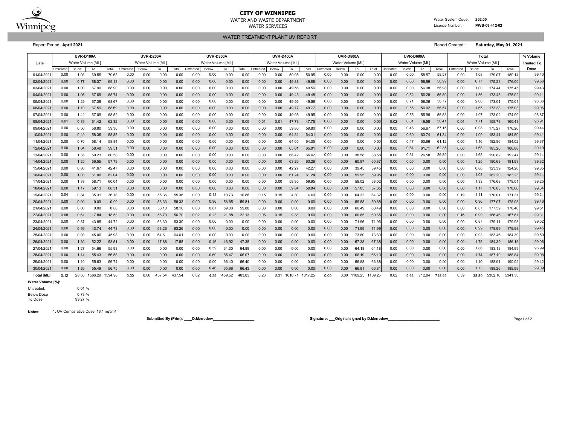

## **CITY OF WINNIPEG**

WATER AND WASTE DEPARTMENT Water System Code: **252.00** WATER SERVICES **EXAMPLE SERVICES Licence Number: PWS-09-412-02** 

WATER TREATMENT PLANT UV REPORT

Report Period: **April 2021** Report Created: **Saturday, May 01, 2021**

|             | <b>UVR-D100A</b> |                   |         |         | <b>UVR-D200A</b> |                   |        |        | <b>UVR-D300A</b> |                   |        |        | <b>UVR-D400A</b> |                   |         | <b>UVR-D500A</b> |                   |       |              | <b>UVR-D600A</b> |                   |       |        | Total          |                   |       |         | % Volume |                   |
|-------------|------------------|-------------------|---------|---------|------------------|-------------------|--------|--------|------------------|-------------------|--------|--------|------------------|-------------------|---------|------------------|-------------------|-------|--------------|------------------|-------------------|-------|--------|----------------|-------------------|-------|---------|----------|-------------------|
| Date        |                  | Water Volume [ML] |         |         |                  | Water Volume [ML] |        |        |                  | Water Volume [ML] |        |        |                  | Water Volume [ML] |         |                  | Water Volume [ML] |       |              |                  | Water Volume [ML] |       |        |                | Water Volume [ML] |       |         |          | <b>Treated To</b> |
|             | Untreated        | Below             | To      | Total   | <b>Jntreated</b> | Below             | To     | Total  | Untreated        | Below             | To     | Total  | Untreated        | Below             | To      | Total            | Untreated         | Below | To           | Total            | Untreated         | Below | To     | Total          | Untreated         | Below | To      | Total    | Dose              |
| 01/04/202   | 0.00             | 1.08              | 69.55   | 70.63   | 0.00             | 0.00              | 0.00   | 0.0    | 0.00             | 0.00              | 0.00   | 0.00   | 0.00             | 0.00              | 50.95   | 50.95            | 0.00              | 0.00  | 0.00         | 0.00             | 0.00              | 0.00  | 58.57  | 58.5           | 0.00              | 1.08  | 179.07  | 180.1    | 99.40             |
| 02/04/202   | 0.00             | 0.77              | 68.37   | 69.1    | 0.00             | 0.00              | 0.00   | 0.0    | 0.00             | 0.00              | 0.00   | 0.00   | 0.00             | 0.00              | 49.88   | 49.88            | 0.00              | 0.00  | 0.00         | 0.00             | 0.00              | 0.00  | 56.99  | 56.9           | 0.00              | 0.77  | 175.23  | 176.00   | 99.56             |
| 03/04/202   | 0.00             | 1.00              | 67.90   | 68.90   | 0.00             | 0.00              | 0.00   | 0.0    | 0.00             | 0.00              | 0.00   | 0.00   | 0.00             | 0.00              | 49.56   | 49.56            | 0.00              | 0.00  | 0.00         | 0.00             | 0.00              | 0.00  | 56.98  | 56.98          | 0.00              | 1.00  | 174.44  | 175.45   | 99.43             |
| 04/04/202   | 0.00             | 1.05              | 67.69   | 68.7    | 0.00             | 0.00              | 0.00   | 0.0    | 0.00             | 0.00              | 0.00   | 0.00   | 0.00             | 0.00              | 49.48   | 49.48            | 0.00              | 0.00  | 0.00         | 0.00             | 0.00              | 0.52  | 56.28  | 56.80          | 0.00              | 1.56  | 173.45  | 175.02   | 99.11             |
| 05/04/202   | 0.00             | 1.29              | 67.39   | 68.67   | 0.00             | 0.00              | 0.00   | 0.0    | 0.00             | 0.00              | 0.00   | 0.00   | 0.00             | 0.00              | 49.56   | 49.56            | 0.00              | 0.00  | 0.00         | 0.00             | 0.00              | 0.71  | 56.06  | 56.77          | 0.00              | 2.00  | 173.01  | 175.0    | 98.86             |
| 06/04/2021  | 0.00             | 1.10              | 67.59   | 68.69   | 0.00             | 0.00              | 0.00   | 0.01   | 0.00             | 0.00              | 0.00   | 0.00   | 0.00             | 0.00              | 49.77   | 49.77            | 0.00              | 0.00  | 0.00         | 0.00             | 0.00              | 0.55  | 56.02  | 56.5           | 0.00              | 1.65  | 173.38  | 175.03   | 99.06             |
| 07/04/202   | 0.00             | 1.42              | 67.09   | 68.52   | 0.00             | 0.00              | 0.00   | 0.0    | 0.00             | 0.00              | 0.00   | 0.00   | 0.00             | 0.00              | 49.95   | 49.95            | 0.00              | 0.00  | 0.00         | 0.00             | 0.00              | 0.55  | 55.98  | 56.5           | 0.00              | 1.97  | 173.02  | 174.99   | 98.87             |
| 08/04/202   | 0.01             | 0.89              | 61.42   | 62.32   | 0.00             | 0.00              | 0.00   | 0.0    | 0.00             | 0.00              | 0.00   | 0.00   | 0.01             | 0.01              | 47.73   | 47.7             | 0.00              | 0.00  | 0.00         | 0.00             | 0.02              | 0.81  | 49.58  | $50.4^{\circ}$ | 0.04              | 1.71  | 158.73  | 160.48   | 98.91             |
| 09/04/202   | 0.00             | 0.50              | 58.80   | 59.30   | 0.00             | 0.00              | 0.00   | 0.0    | 0.00             | 0.00              | 0.00   | 0.00   | 0.00             | 0.00              | 59.80   | 59.8             | 0.00              | 0.00  | 0.00         | 0.00             | 0.00              | 0.48  | 56.67  | 57.1           | 0.00              | 0.98  | 175.27  | 176.26   | 99.44             |
| 10/04/2021  | 0.00             | 0.49              | 58.36   | 58.85   | 0.00             | 0.00              | 0.00   | 0.0    | 0.00             | 0.00              | 0.00   | 0.00   | 0.00             | 0.00              | 64.31   | 64.3'            | 0.00              | 0.00  | 0.00         | 0.00             | 0.00              | 0.60  | 60.74  | 61.34          | 0.00              | 1.09  | 183.41  | 184.50   | 99.41             |
| 11/04/202   | 0.00             | 0.70              | 58.14   | 58.84   | 0.00             | 0.00              | 0.00   | 0.0    | 0.00             | 0.00              | 0.00   | 0.00   | 0.00             | 0.00              | 64.05   | 64.0             | 0.00              | 0.00  | 0.00         | 0.00             | 0.00              | 0.47  | 60.66  | 61.1           | 0.00              | 1.16  | 182.86  | 184.02   | 99.37             |
| 12/04/202   | 0.00             | 1.04              | 58.48   | 59.5    | 0.00             | 0.00              | 0.00   | 0.0    | 0.00             | 0.00              | 0.00   | 0.00   | 0.00             | 0.00              | 65.01   | 65.0             | 0.00              | 0.00  | 0.00         | 0.00             | 0.00              | 0.64  | 61.71  | 62.35          | 0.00              | 1.68  | 185.20  | 186.88   | 99.10             |
| 13/04/202   | 0.00             | 1.35              | 59.23   | 60.58   | 0.00             | 0.00              | 0.00   | 0.0    | 0.00             | 0.00              | 0.00   | 0.00   | 0.00             | 0.00              | 66.42   | 66.42            | 0.00              | 0.00  | 38.58        | 38.58            | 0.00              | 0.31  | 26.58  | 26.89          | 0.00              | 1.65  | 190.82  | 192.4    | 99.14             |
| 14/04/202   | 0.00             | 1.25              | 56.55   | 57.79   | 0.00             | 0.00              | 0.00   | 0.0    | 0.00             | 0.00              | 0.00   | 0.00   | 0.00             | 0.00              | 63.26   | 63.26            | 0.00              | 0.00  | 60.87        | 60.8             | 0.00              | 0.00  | 0.00   | 0.00           | 0.00              | 1.25  | 180.68  | 181.93   | 99.32             |
| 15/04/2021  | 0.00             | 0.80              | 41.67   | 42.47   | 0.00             | 0.00              | 0.00   | 0.0    | 0.00             | 0.00              | 0.00   | 0.00   | 0.00             | 0.00              | 42.27   | 42.27            | 0.00              | 0.00  | 39.45        | 39.45            | 0.00              | 0.00  | 0.00   | 0.00           | 0.00              | 0.80  | 123.39  | 124.20   | 99.35             |
| 16/04/2021  | 0.00             | 1.03              | 61.00   | 62.0    | 0.00             | 0.00              | 0.00   | 0.01   | 0.00             | 0.00              | 0.00   | 0.00   | 0.00             | 0.00              | 61.24   | 61.24            | 0.00              | 0.00  | 59.95        | 59.95            | 0.00              | 0.00  | 0.00   | 0.00           | 0.00              | 1.03  | 182.20  | 183.23   | 99.44             |
| 17/04/202   | 0.00             | 1.33              | 58.71   | 60.04   | 0.00             | 0.00              | 0.00   | 0.01   | 0.00             | 0.00              | 0.00   | 0.00   | 0.00             | 0.00              | 59.95   | 59.95            | 0.00              | 0.00  | 58.02        | 58.02            | 0.00              | 0.00  | 0.00   | 0.00           | 0.00              | 1.33  | 176.68  | 178.0    | 99.25             |
| 18/04/202   | 0.00             | 1.17              | 59.13   | 60.3    | 0.00             | 0.00              | 0.00   | 0.0    | 0.00             | 0.00              | 0.00   | 0.00   | 0.00             | 0.00              | 59.84   | 59.84            | 0.00              | 0.00  | 57.85        | 57.85            | 0.00              | 0.00  | 0.00   | 0.00           | 0.00              | 1.17  | 176.83  | 178.00   | 99.34             |
| 19/04/202   | 0.04             | 0.84              | 35.31   | 36.18   | 0.00             | 0.00              | 55.36  | 55.3   | 0.00             | 0.12              | 10.73  | 10.86  | 0.15             | 0.15              | 4.30    | 4.60             | 0.00              | 0.00  | 64.32        | 64.32            | 0.00              | 0.00  | 0.00   | 0.00           | 0.19              | 1.11  | 170.01  | 171.3'   | 99.24             |
| 20/04/2021  | 0.00             | 0.00              | 0.00    | 0.0     | 0.00             | 0.00              | 58.33  | 58.3   | 0.00             | 0.96              | 58.85  | 59.8'  | 0.00             | 0.00              | 0.00    | 0.00             | 0.00              | 0.00  | 59.88        | 59.88            | 0.00              | 0.00  | 0.00   | 0.00           | 0.00              | 0.96  | 177.07  | 178.03   | 99.46             |
| 21/04/202   | 0.00             | 0.00              | 0.00    | 0.00    | 0.00             | 0.00              | 58.10  | 58.1   | 0.00             | 0.87              | 59.00  | 59.88  | 0.00             | 0.00              | 0.00    | 0.00             | 0.00              | 0.00  | 60.49        | 60.49            | 0.00              | 0.00  | 0.00   | 0.00           | 0.00              | 0.87  | 177.59  | 178.46   | 99.51             |
| 22/04/2021  | 0.08             | 0.61              | 17.84   | 18.53   | 0.00             | 0.00              | 56.70  | 56.7   | 0.02             | 0.23              | 21.88  | 22.1   | 0.06             | 0.15              | 9.38    | 9.60             | 0.00              | 0.00  | 60.65        | 60.65            | 0.00              | 0.00  | 0.00   | 0.00           | 0.16              | 0.99  | 166.46  | 167.6    | 99.31             |
| 23/04/202   | 0.00             | 0.87              | 43.85   | 44.72   | 0.00             | 0.00              | 63.30  | 63.3   | 0.00             | 0.00              | 0.00   | 0.00   | 0.00             | 0.00              | 0.00    | 0.00             | 0.00              | 0.00  | 71.96        | 71.96            | 0.00              | 0.00  | 0.00   | 0.00           | 0.00              | 0.87  | 179.11  | 179.98   | 99.52             |
| 24/04/2021  | 0.00             | 0.99              | 43.74   | 44.73   | 0.00             | 0.00              | 63.26  | 63.2   | 0.00             | 0.00              | 0.00   | 0.00   | 0.00             | 0.00              | 0.00    | 0.00             | 0.00              | 0.00  | 71.99        | 71.99            | 0.00              | 0.00  | 0.00   | 0.00           | 0.00              | 0.99  | 178.99  | 179.98   | 99.45             |
| 25/04/202   | 0.00             | 0.93              | 45.06   | 45.98   | 0.00             | 0.00              | 64.61  | 64.6   | 0.00             | 0.00              | 0.00   | 0.00   | 0.00             | 0.00              | 0.00    | 0.00             | 0.00              | 0.00  | 73.80        | 73.80            | 0.00              | 0.00  | 0.00   | 0.00           | 0.00              | 0.93  | 183.46  | 184.39   | 99.50             |
| 26/04/202   | 0.00             | 1.30              | 52.22   | 53.5'   | 0.00             | 0.00              | 17.88  | 17.8   | 0.00             | 0.46              | 46.92  | 47.38  | 0.00             | 0.00              | 0.00    | 0.00             | 0.00              | 0.00  | 67.38        | 67.38            | 0.00              | 0.00  | 0.00   | 0.00           | 0.00              | 1.75  | 184.39  | 186.15   | 99.06             |
| 27/04/202   | 0.00             | 1.27              | 54.66   | 55.93   | 0.00             | 0.00              | 0.00   | 0.0    | 0.00             | 0.59              | 64.30  | 64.88  | 0.00             | 0.00              | 0.00    | 0.00             | 0.00              | 0.00  | 64.18        | 64.18            | 0.00              | 0.00  | 0.00   | 0.00           | 0.00              | 1.86  | 183.13  | 184.99   | 98.99             |
| 28/04/202   | 0.00             | 1.14              | 55.43   | 56.58   | 0.00             | 0.00              | 0.00   | 0.0    | 0.00             | 0.60              | 65.47  | 66.07  | 0.00             | 0.00              | 0.00    | 0.00             | 0.00              | 0.00  | 66.19        | 66.19            | 0.00              | 0.00  | 0.00   | 0.00           | 0.00              | 1.74  | 187.10  | 188.84   | 99.08             |
| 29/04/202   | 0.00             | 1.10              | 55.63   | 56.74   | 0.00             | 0.00              | 0.00   | 0.0    | 0.00             | 0.00              | 66.40  | 66.40  | 0.00             | 0.00              | 0.00    | 0.00             | 0.00              | 0.00  | 66.88        | 66.88            | 0.00              | 0.00  | 0.00   | 0.00           | 0.00              | 1.10  | 188.91  | 190.02   | 99.42             |
| 30/04/202   | 0.00             | 1.26              | 55.49   | 56.75   | 0.00             | 0.00              | 0.00   | 0.01   | 0.00             | 0.46              | 65.96  | 66.43  | 0.00             | 0.00              | 0.00    | 0.00             | 0.00              | 0.00  | 66.81        | 66.8             | 0.00              | 0.00  | 0.00   | 0.00           | 0.00              | 1.73  | 188.26  | 189.99   | 99.09             |
| Total [ML]: | 0.12             | 28.56             | 1566.29 | 1594.98 | 0.00             | 0.00              | 437.54 | 437.54 | 0.02             | 4.29              | 459.52 | 463.83 | 0.23             | 0.31              | 1016.71 | 1017.25          | 0.00              |       | 0.00 1109.25 | 1109.25          | 0.02              | 5.63  | 712.84 | 718.49         | 0.39              | 38.80 | 5302.16 | 5341.35  |                   |

**Water Volume [%]:**

Untreated: 0.01 %

Below Dose 0.73 %<br>To Dose 99.27 % 99.27 %

**Notes:** 1. UV Comparative Dose: 18.1 mj/cm²

**Submitted By (Print): \_\_\_\_D.Merredew\_\_\_\_\_\_\_\_\_\_\_\_\_\_\_\_\_\_\_\_ Signature: \_\_\_Original signed by D.Merredew\_\_\_\_\_\_\_\_\_\_\_\_\_\_\_\_\_\_\_\_\_\_\_\_\_** Page1 of 2